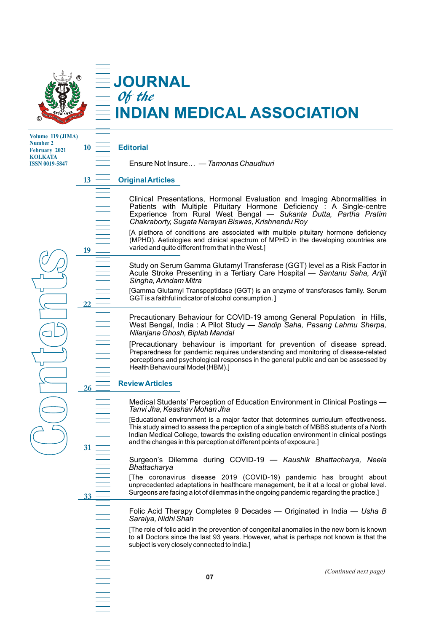

# Of the **NDIAN MEDICAL ASSOCIATION**

**Volume 119 (JIMA) Number 2 February 2021 KOLKATA ISSN 0019-5847**

**10**

**13**

**19**

**22**

**26**

**31**

**33**

**C**

**o**

**n** 

**t**<br> **t**<br> **t**<br> **t**<br> **t**<br> **t**<br> **d**<br> **d** 

**e**

**n** 

**t**<br> **t** 

**s**

**Editorial**

**JOURNAL** 

Ensure Not Insure… — *Tamonas Chaudhuri*

### **Original Articles**

Clinical Presentations, Hormonal Evaluation and Imaging Abnormalities in Patients with Multiple Pituitary Hormone Deficiency : A Single-centre Experience from Rural West Bengal — *Sukanta Dutta, Partha Pratim Chakraborty, Sugata Narayan Biswas, Krishnendu Roy*

[A plethora of conditions are associated with multiple pituitary hormone deficiency (MPHD). Aetiologies and clinical spectrum of MPHD in the developing countries are varied and quite different from that in the West.]

Study on Serum Gamma Glutamyl Transferase (GGT) level as a Risk Factor in Acute Stroke Presenting in a Tertiary Care Hospital — *Santanu Saha, Arijit Singha, Arindam Mitra*

[Gamma Glutamyl Transpeptidase (GGT) is an enzyme of transferases family. Serum GGT is a faithful indicator of alcohol consumption. ]

Precautionary Behaviour for COVID-19 among General Population in Hills, West Bengal, India : A Pilot Study — *Sandip Saha, Pasang Lahmu Sherpa, Nilanjana Ghosh, Biplab Mandal*

[Precautionary behaviour is important for prevention of disease spread. Preparedness for pandemic requires understanding and monitoring of disease-related perceptions and psychological responses in the general public and can be assessed by Health Behavioural Model (HBM).]

**Review Articles**

Medical Students' Perception of Education Environment in Clinical Postings — *Tanvi Jha, Keashav Mohan Jha*

[Educational environment is a major factor that determines curriculum effectiveness. This study aimed to assess the perception of a single batch of MBBS students of a North Indian Medical College, towards the existing education environment in clinical postings and the changes in this perception at different points of exposure.]

Surgeon's Dilemma during COVID-19 — *Kaushik Bhattacharya, Neela Bhattacharya*

[The coronavirus disease 2019 (COVID-19) pandemic has brought about unprecedented adaptations in healthcare management, be it at a local or global level. Surgeons are facing a lot of dilemmas in the ongoing pandemic regarding the practice.]

Folic Acid Therapy Completes 9 Decades — Originated in India — *Usha B Saraiya, Nidhi Shah*

[The role of folic acid in the prevention of congenital anomalies in the new born is known to all Doctors since the last 93 years. However, what is perhaps not known is that the subject is very closely connected to India.]

*(Continued next page)*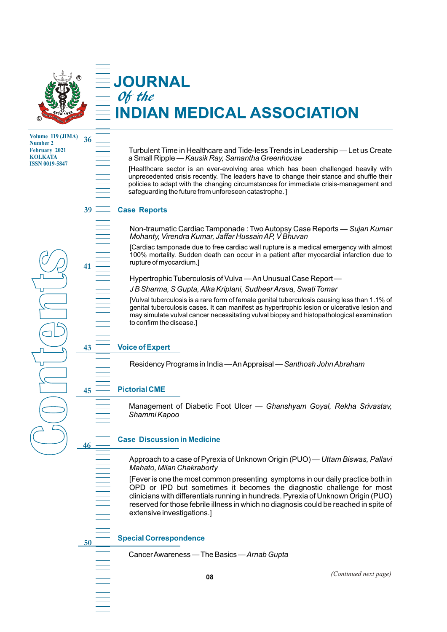

## **JOURNAL** Of the **NDIAN MEDICAL ASSOCIATION**

**Volume 119 (JIMA) Number 2 February 2021 KOLKATA ISSN 0019-5847**

**C**

**o**

**n** 

**t**<br>The discrete discrete discrete discrete discrete discrete discrete discrete discrete discrete discrete discret<br>Separate discrete discrete discrete discrete discrete discrete discrete discrete discrete discrete discrete

**e**

**n** 

**t**<br> **t** 

**41**

**36**

**43**

**46**

**50**

**s**

Turbulent Time in Healthcare and Tide-less Trends in Leadership — Let us Create a Small Ripple — *Kausik Ray, Samantha Greenhouse*

[Healthcare sector is an ever-evolving area which has been challenged heavily with unprecedented crisis recently. The leaders have to change their stance and shuffle their policies to adapt with the changing circumstances for immediate crisis-management and safeguarding the future from unforeseen catastrophe. ]

#### **39 Case Reports**

Non-traumatic Cardiac Tamponade : Two Autopsy Case Reports — *Sujan Kumar Mohanty, Virendra Kumar, Jaffar Hussain AP, V Bhuvan*

[Cardiac tamponade due to free cardiac wall rupture is a medical emergency with almost 100% mortality. Sudden death can occur in a patient after myocardial infarction due to rupture of myocardium.]

Hypertrophic Tuberculosis of Vulva — An Unusual Case Report —

*J B Sharma, S Gupta, Alka Kriplani, Sudheer Arava, Swati Tomar*

[Vulval tuberculosis is a rare form of female genital tuberculosis causing less than 1.1% of genital tuberculosis cases. It can manifest as hypertrophic lesion or ulcerative lesion and may simulate vulval cancer necessitating vulval biopsy and histopathological examination to confirm the disease.]

## **Voice of Expert**

Residency Programs in India — An Appraisal — *Santhosh John Abraham*

#### **45 Pictorial CME**

Management of Diabetic Foot Ulcer — *Ghanshyam Goyal, Rekha Srivastav, Shammi Kapoo*

#### **Case Discussion in Medicine**

Approach to a case of Pyrexia of Unknown Origin (PUO) — *Uttam Biswas, Pallavi Mahato, Milan Chakraborty*

[Fever is one the most common presenting symptoms in our daily practice both in OPD or IPD but sometimes it becomes the diagnostic challenge for most clinicians with differentials running in hundreds. Pyrexia of Unknown Origin (PUO) reserved for those febrile illness in which no diagnosis could be reached in spite of extensive investigations.]

#### **Special Correspondence**

Cancer Awareness — The Basics —*Arnab Gupta*